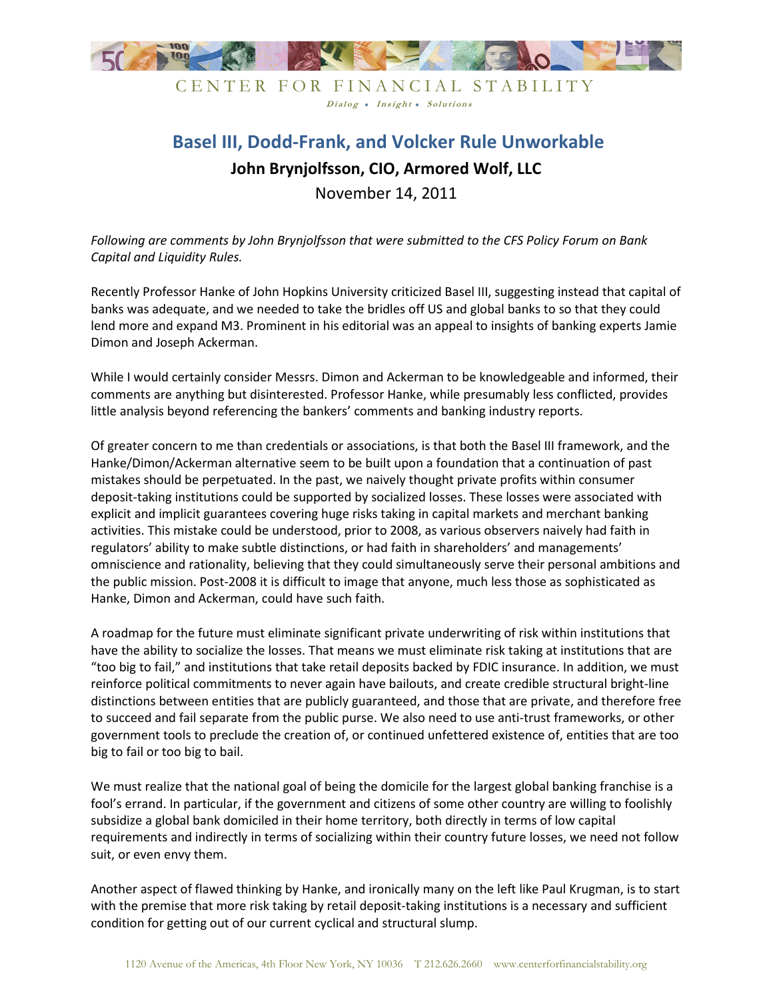

CENTER FOR FINANCIAL STABILITY Dialog . Insight . Solutions

## **Basel III, Dodd-Frank, and Volcker Rule Unworkable John Brynjolfsson, CIO, Armored Wolf, LLC** November 14, 2011

*Following are comments by John Brynjolfsson that were submitted to the CFS Policy Forum on Bank Capital and Liquidity Rules.* 

Recently Professor Hanke of John Hopkins University criticized Basel III, suggesting instead that capital of banks was adequate, and we needed to take the bridles off US and global banks to so that they could lend more and expand M3. Prominent in his editorial was an appeal to insights of banking experts Jamie Dimon and Joseph Ackerman.

While I would certainly consider Messrs. Dimon and Ackerman to be knowledgeable and informed, their comments are anything but disinterested. Professor Hanke, while presumably less conflicted, provides little analysis beyond referencing the bankers' comments and banking industry reports.

Of greater concern to me than credentials or associations, is that both the Basel III framework, and the Hanke/Dimon/Ackerman alternative seem to be built upon a foundation that a continuation of past mistakes should be perpetuated. In the past, we naively thought private profits within consumer deposit-taking institutions could be supported by socialized losses. These losses were associated with explicit and implicit guarantees covering huge risks taking in capital markets and merchant banking activities. This mistake could be understood, prior to 2008, as various observers naively had faith in regulators' ability to make subtle distinctions, or had faith in shareholders' and managements' omniscience and rationality, believing that they could simultaneously serve their personal ambitions and the public mission. Post-2008 it is difficult to image that anyone, much less those as sophisticated as Hanke, Dimon and Ackerman, could have such faith.

A roadmap for the future must eliminate significant private underwriting of risk within institutions that have the ability to socialize the losses. That means we must eliminate risk taking at institutions that are "too big to fail," and institutions that take retail deposits backed by FDIC insurance. In addition, we must reinforce political commitments to never again have bailouts, and create credible structural bright-line distinctions between entities that are publicly guaranteed, and those that are private, and therefore free to succeed and fail separate from the public purse. We also need to use anti-trust frameworks, or other government tools to preclude the creation of, or continued unfettered existence of, entities that are too big to fail or too big to bail.

We must realize that the national goal of being the domicile for the largest global banking franchise is a fool's errand. In particular, if the government and citizens of some other country are willing to foolishly subsidize a global bank domiciled in their home territory, both directly in terms of low capital requirements and indirectly in terms of socializing within their country future losses, we need not follow suit, or even envy them.

Another aspect of flawed thinking by Hanke, and ironically many on the left like Paul Krugman, is to start with the premise that more risk taking by retail deposit-taking institutions is a necessary and sufficient condition for getting out of our current cyclical and structural slump.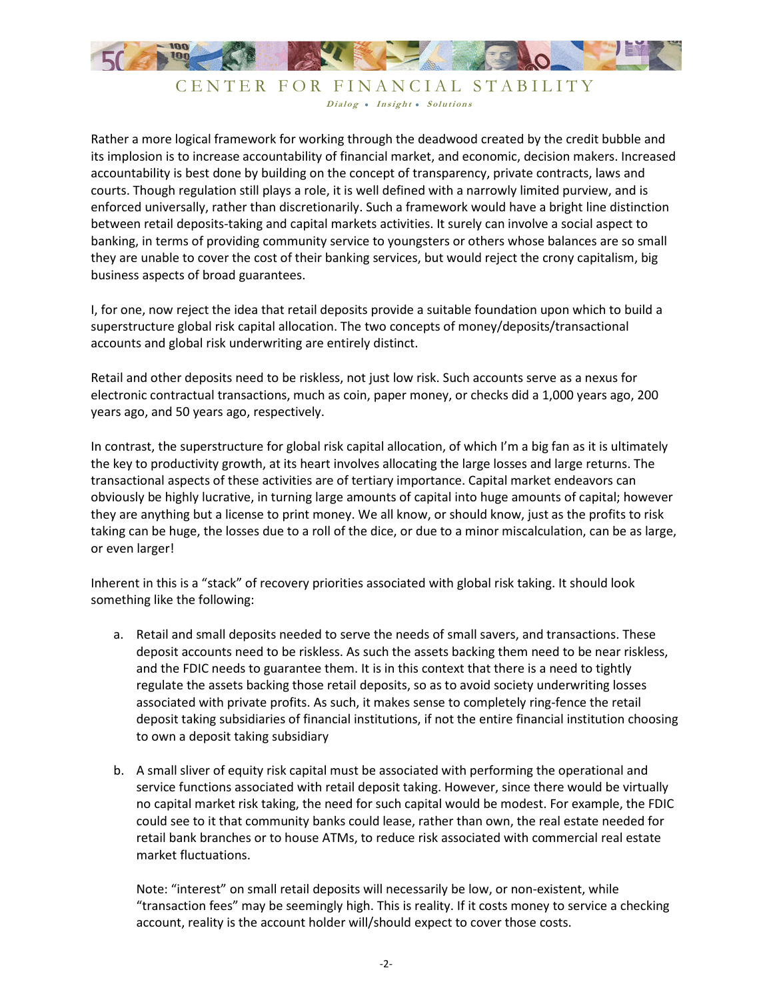

## CENTER FOR FINANCIAL STABILITY Dialog . Insight . Solutions

Rather a more logical framework for working through the deadwood created by the credit bubble and its implosion is to increase accountability of financial market, and economic, decision makers. Increased accountability is best done by building on the concept of transparency, private contracts, laws and courts. Though regulation still plays a role, it is well defined with a narrowly limited purview, and is enforced universally, rather than discretionarily. Such a framework would have a bright line distinction between retail deposits-taking and capital markets activities. It surely can involve a social aspect to banking, in terms of providing community service to youngsters or others whose balances are so small they are unable to cover the cost of their banking services, but would reject the crony capitalism, big business aspects of broad guarantees.

I, for one, now reject the idea that retail deposits provide a suitable foundation upon which to build a superstructure global risk capital allocation. The two concepts of money/deposits/transactional accounts and global risk underwriting are entirely distinct.

Retail and other deposits need to be riskless, not just low risk. Such accounts serve as a nexus for electronic contractual transactions, much as coin, paper money, or checks did a 1,000 years ago, 200 years ago, and 50 years ago, respectively.

In contrast, the superstructure for global risk capital allocation, of which I'm a big fan as it is ultimately the key to productivity growth, at its heart involves allocating the large losses and large returns. The transactional aspects of these activities are of tertiary importance. Capital market endeavors can obviously be highly lucrative, in turning large amounts of capital into huge amounts of capital; however they are anything but a license to print money. We all know, or should know, just as the profits to risk taking can be huge, the losses due to a roll of the dice, or due to a minor miscalculation, can be as large, or even larger!

Inherent in this is a "stack" of recovery priorities associated with global risk taking. It should look something like the following:

- a. Retail and small deposits needed to serve the needs of small savers, and transactions. These deposit accounts need to be riskless. As such the assets backing them need to be near riskless, and the FDIC needs to guarantee them. It is in this context that there is a need to tightly regulate the assets backing those retail deposits, so as to avoid society underwriting losses associated with private profits. As such, it makes sense to completely ring-fence the retail deposit taking subsidiaries of financial institutions, if not the entire financial institution choosing to own a deposit taking subsidiary
- b. A small sliver of equity risk capital must be associated with performing the operational and service functions associated with retail deposit taking. However, since there would be virtually no capital market risk taking, the need for such capital would be modest. For example, the FDIC could see to it that community banks could lease, rather than own, the real estate needed for retail bank branches or to house ATMs, to reduce risk associated with commercial real estate market fluctuations.

Note: "interest" on small retail deposits will necessarily be low, or non-existent, while "transaction fees" may be seemingly high. This is reality. If it costs money to service a checking account, reality is the account holder will/should expect to cover those costs.